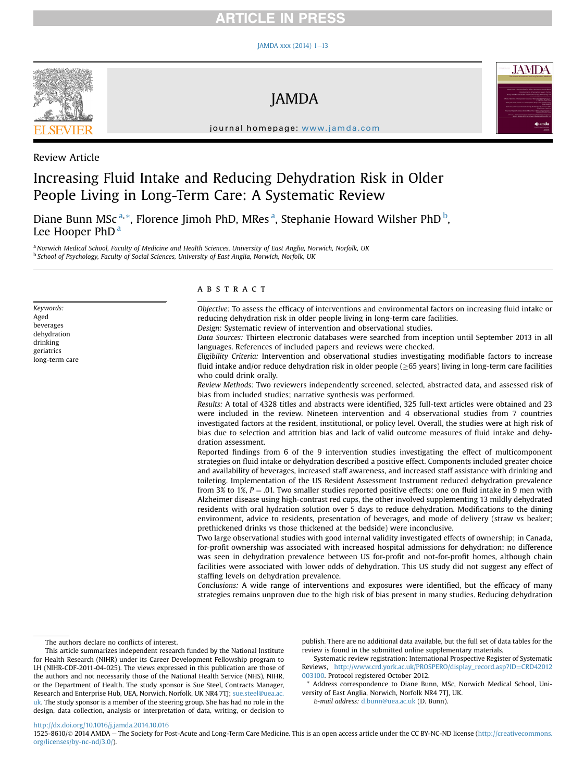## **RTICLE IN PRESS**

#### JAMDA xxx (2014)  $1-13$  $1-13$



JAMDA



journal homepage: [www.jamda.com](http://www.jamda.com)

Review Article

# Increasing Fluid Intake and Reducing Dehydration Risk in Older People Living in Long-Term Care: A Systematic Review

Diane Bunn MSc<sup>a,\*</sup>, Florence Jimoh PhD, MRes<sup>a</sup>, Stephanie Howard Wilsher PhD<sup>b</sup>, Lee Hooper PhD<sup>a</sup>

a Norwich Medical School, Faculty of Medicine and Health Sciences, University of East Anglia, Norwich, Norfolk, UK <sup>b</sup> School of Psychology, Faculty of Social Sciences, University of East Anglia, Norwich, Norfolk, UK

Keywords: Aged beverages dehydration drinking geriatrics long-term care

## ABSTRACT

Objective: To assess the efficacy of interventions and environmental factors on increasing fluid intake or reducing dehydration risk in older people living in long-term care facilities. Design: Systematic review of intervention and observational studies.

Data Sources: Thirteen electronic databases were searched from inception until September 2013 in all languages. References of included papers and reviews were checked.

Eligibility Criteria: Intervention and observational studies investigating modifiable factors to increase fluid intake and/or reduce dehydration risk in older people ( $\geq$ 65 years) living in long-term care facilities who could drink orally.

Review Methods: Two reviewers independently screened, selected, abstracted data, and assessed risk of bias from included studies; narrative synthesis was performed.

Results: A total of 4328 titles and abstracts were identified, 325 full-text articles were obtained and 23 were included in the review. Nineteen intervention and 4 observational studies from 7 countries investigated factors at the resident, institutional, or policy level. Overall, the studies were at high risk of bias due to selection and attrition bias and lack of valid outcome measures of fluid intake and dehydration assessment.

Reported findings from 6 of the 9 intervention studies investigating the effect of multicomponent strategies on fluid intake or dehydration described a positive effect. Components included greater choice and availability of beverages, increased staff awareness, and increased staff assistance with drinking and toileting. Implementation of the US Resident Assessment Instrument reduced dehydration prevalence from 3% to 1%,  $P = 0.01$ . Two smaller studies reported positive effects: one on fluid intake in 9 men with Alzheimer disease using high-contrast red cups, the other involved supplementing 13 mildly dehydrated residents with oral hydration solution over 5 days to reduce dehydration. Modifications to the dining environment, advice to residents, presentation of beverages, and mode of delivery (straw vs beaker; prethickened drinks vs those thickened at the bedside) were inconclusive.

Two large observational studies with good internal validity investigated effects of ownership; in Canada, for-profit ownership was associated with increased hospital admissions for dehydration; no difference was seen in dehydration prevalence between US for-profit and not-for-profit homes, although chain facilities were associated with lower odds of dehydration. This US study did not suggest any effect of staffing levels on dehydration prevalence.

Conclusions: A wide range of interventions and exposures were identified, but the efficacy of many strategies remains unproven due to the high risk of bias present in many studies. Reducing dehydration

The authors declare no conflicts of interest.

This article summarizes independent research funded by the National Institute for Health Research (NIHR) under its Career Development Fellowship program to LH (NIHR-CDF-2011-04-025). The views expressed in this publication are those of the authors and not necessarily those of the National Health Service (NHS), NIHR, or the Department of Health. The study sponsor is Sue Steel, Contracts Manager, Research and Enterprise Hub, UEA, Norwich, Norfolk, UK NR4 7TJ; [sue.steel@uea.ac.](mailto:sue.steel@uea.ac.uk) [uk](mailto:sue.steel@uea.ac.uk). The study sponsor is a member of the steering group. She has had no role in the design, data collection, analysis or interpretation of data, writing, or decision to

publish. There are no additional data available, but the full set of data tables for the review is found in the submitted online supplementary materials.

Systematic review registration: International Prospective Register of Systematic Reviews, [http://www.crd.york.ac.uk/PROSPERO/display\\_record.asp?ID](http://www.crd.york.ac.uk/PROSPERO/display_record.asp?ID=CRD42012003100)=[CRD42012](http://www.crd.york.ac.uk/PROSPERO/display_record.asp?ID=CRD42012003100) [003100](http://www.crd.york.ac.uk/PROSPERO/display_record.asp?ID=CRD42012003100). Protocol registered October 2012.

Address correspondence to Diane Bunn, MSc, Norwich Medical School, University of East Anglia, Norwich, Norfolk NR4 7TJ, UK.

E-mail address: [d.bunn@uea.ac.uk](mailto:d.bunn@uea.ac.uk) (D. Bunn).

<http://dx.doi.org/10.1016/j.jamda.2014.10.016>

1525-8610/© 2014 AMDA - The Society for Post-Acute and Long-Term Care Medicine. This is an open access article under the CC BY-NC-ND license [\(http://creativecommons.](http://creativecommons.org/licenses/by-nc-nd/3.0/) [org/licenses/by-nc-nd/3.0/](http://creativecommons.org/licenses/by-nc-nd/3.0/)).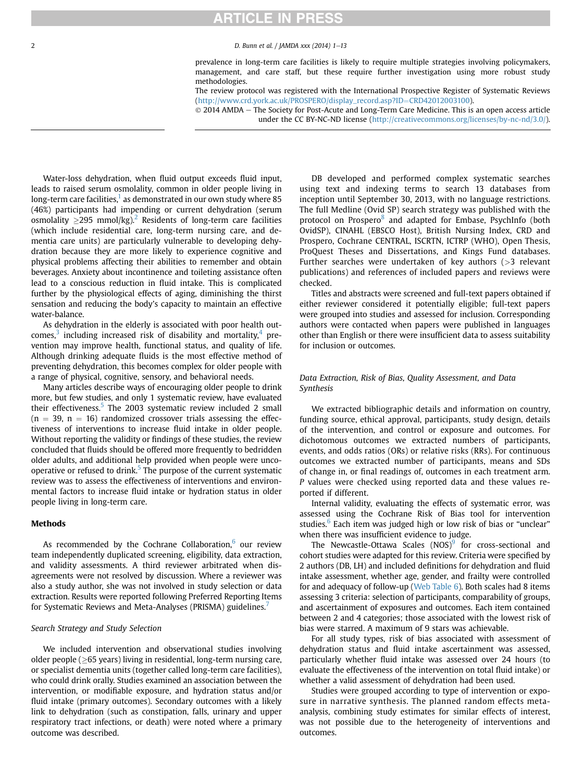# **ARTICLE IN PRESS**

#### 2 D. Bunn et al. / JAMDA xxx (2014) 1-13

prevalence in long-term care facilities is likely to require multiple strategies involving policymakers, management, and care staff, but these require further investigation using more robust study methodologies.

The review protocol was registered with the International Prospective Register of Systematic Reviews [\(http://www.crd.york.ac.uk/PROSPERO/display\\_record.asp?ID](http://www.crd.york.ac.uk/PROSPERO/display_record.asp?ID=CRD42012003100)=[CRD42012003100\)](http://www.crd.york.ac.uk/PROSPERO/display_record.asp?ID=CRD42012003100).

 $\odot$  2014 AMDA  $-$  The Society for Post-Acute and Long-Term Care Medicine. This is an open access article under the CC BY-NC-ND license ([http://creativecommons.org/licenses/by-nc-nd/3.0/\)](http://creativecommons.org/licenses/by-nc-nd/3.0/).

Water-loss dehydration, when fluid output exceeds fluid input, leads to raised serum osmolality, common in older people living in long-term care facilities, $<sup>1</sup>$  $<sup>1</sup>$  $<sup>1</sup>$  as demonstrated in our own study where 85</sup> (46%) participants had impending or current dehydration (serum osmolality  $\geq$ [2](#page-12-0)95 mmol/kg).<sup>2</sup> Residents of long-term care facilities (which include residential care, long-term nursing care, and dementia care units) are particularly vulnerable to developing dehydration because they are more likely to experience cognitive and physical problems affecting their abilities to remember and obtain beverages. Anxiety about incontinence and toileting assistance often lead to a conscious reduction in fluid intake. This is complicated further by the physiological effects of aging, diminishing the thirst sensation and reducing the body's capacity to maintain an effective water-balance.

As dehydration in the elderly is associated with poor health outcomes, $3$  including increased risk of disability and mortality, $4$  prevention may improve health, functional status, and quality of life. Although drinking adequate fluids is the most effective method of preventing dehydration, this becomes complex for older people with a range of physical, cognitive, sensory, and behavioral needs.

Many articles describe ways of encouraging older people to drink more, but few studies, and only 1 systematic review, have evaluated their effectiveness.<sup>[5](#page-12-0)</sup> The 2003 systematic review included 2 small  $(n = 39, n = 16)$  randomized crossover trials assessing the effectiveness of interventions to increase fluid intake in older people. Without reporting the validity or findings of these studies, the review concluded that fluids should be offered more frequently to bedridden older adults, and additional help provided when people were uncooperative or refused to drink. $5$  The purpose of the current systematic review was to assess the effectiveness of interventions and environmental factors to increase fluid intake or hydration status in older people living in long-term care.

## Methods

As recommended by the Cochrane Collaboration, $6$  our review team independently duplicated screening, eligibility, data extraction, and validity assessments. A third reviewer arbitrated when disagreements were not resolved by discussion. Where a reviewer was also a study author, she was not involved in study selection or data extraction. Results were reported following Preferred Reporting Items for Systematic Reviews and Meta-Analyses (PRISMA) guidelines.<sup>[7](#page-12-0)</sup>

#### Search Strategy and Study Selection

We included intervention and observational studies involving older people ( $\geq$ 65 years) living in residential, long-term nursing care, or specialist dementia units (together called long-term care facilities), who could drink orally. Studies examined an association between the intervention, or modifiable exposure, and hydration status and/or fluid intake (primary outcomes). Secondary outcomes with a likely link to dehydration (such as constipation, falls, urinary and upper respiratory tract infections, or death) were noted where a primary outcome was described.

DB developed and performed complex systematic searches using text and indexing terms to search 13 databases from inception until September 30, 2013, with no language restrictions. The full Medline (Ovid SP) search strategy was published with the protocol on Prospero<sup>[8](#page-12-0)</sup> and adapted for Embase, PsychInfo (both OvidSP), CINAHL (EBSCO Host), British Nursing Index, CRD and Prospero, Cochrane CENTRAL, ISCRTN, ICTRP (WHO), Open Thesis, ProQuest Theses and Dissertations, and Kings Fund databases. Further searches were undertaken of key authors (>3 relevant publications) and references of included papers and reviews were checked.

Titles and abstracts were screened and full-text papers obtained if either reviewer considered it potentially eligible; full-text papers were grouped into studies and assessed for inclusion. Corresponding authors were contacted when papers were published in languages other than English or there were insufficient data to assess suitability for inclusion or outcomes.

## Data Extraction, Risk of Bias, Quality Assessment, and Data Synthesis

We extracted bibliographic details and information on country, funding source, ethical approval, participants, study design, details of the intervention, and control or exposure and outcomes. For dichotomous outcomes we extracted numbers of participants, events, and odds ratios (ORs) or relative risks (RRs). For continuous outcomes we extracted number of participants, means and SDs of change in, or final readings of, outcomes in each treatment arm. P values were checked using reported data and these values reported if different.

Internal validity, evaluating the effects of systematic error, was assessed using the Cochrane Risk of Bias tool for intervention studies.<sup>[6](#page-12-0)</sup> Each item was judged high or low risk of bias or "unclear" when there was insufficient evidence to judge.

The Newcastle-Ottawa Scales  $(NOS)^9$  $(NOS)^9$  for cross-sectional and cohort studies were adapted for this review. Criteria were specified by 2 authors (DB, LH) and included definitions for dehydration and fluid intake assessment, whether age, gender, and frailty were controlled for and adequacy of follow-up (Web Table 6). Both scales had 8 items assessing 3 criteria: selection of participants, comparability of groups, and ascertainment of exposures and outcomes. Each item contained between 2 and 4 categories; those associated with the lowest risk of bias were starred. A maximum of 9 stars was achievable.

For all study types, risk of bias associated with assessment of dehydration status and fluid intake ascertainment was assessed, particularly whether fluid intake was assessed over 24 hours (to evaluate the effectiveness of the intervention on total fluid intake) or whether a valid assessment of dehydration had been used.

Studies were grouped according to type of intervention or exposure in narrative synthesis. The planned random effects metaanalysis, combining study estimates for similar effects of interest, was not possible due to the heterogeneity of interventions and outcomes.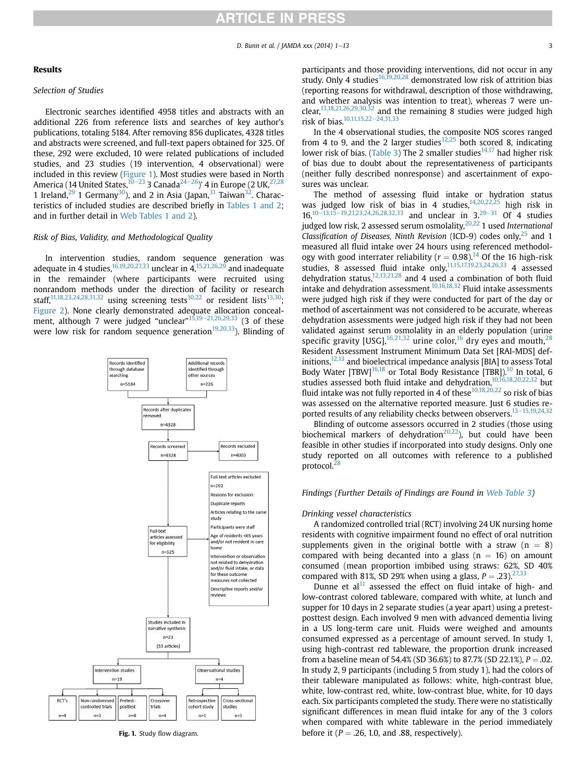## **RTICLE IN PRESS**

## Results

## Selection of Studies

Electronic searches identified 4958 titles and abstracts with an additional 226 from reference lists and searches of key author's publications, totaling 5184. After removing 856 duplicates, 4328 titles and abstracts were screened, and full-text papers obtained for 325. Of these, 292 were excluded, 10 were related publications of included studies, and 23 studies (19 intervention, 4 observational) were included in this review (Figure 1). Most studies were based in North America (14 United States,  $10^{-23}$  $10^{-23}$  $10^{-23}$  3 Canada<sup>24-[26](#page-12-0)</sup>)' 4 in Europe (2 UK,  $27,28$ 1 Ireland,<sup>[29](#page-12-0)</sup> 1 Germany<sup>[30](#page-12-0)</sup>), and 2 in Asia (Japan,<sup>[31](#page-12-0)</sup> Taiwan<sup>[32](#page-12-0)</sup>. Characteristics of included studies are described briefly in [Tables 1 and 2;](#page-3-0) and in further detail in Web Tables 1 and 2).

#### Risk of Bias, Validity, and Methodological Quality

In intervention studies, random sequence generation was adequate in 4 studies,  $16,19,20,27,33$  unclear in  $4,15,21,26,29$  $4,15,21,26,29$  and inadequate in the remainder (where participants were recruited using nonrandom methods under the direction of facility or research staff,<sup>[11,18,23,24,28,31,32](#page-12-0)</sup> using screening tests<sup>[10,22](#page-12-0)</sup> or resident lists<sup>13,30</sup>; [Figure 2](#page-7-0)). None clearly demonstrated adequate allocation conceal-ment, although 7 were judged "unclear"<sup>[15,19](#page-12-0)–[21,26,29,33](#page-12-0)</sup> (3 of these were low risk for random sequence generation<sup>[19,20,33](#page-12-0)</sup>). Blinding of



participants and those providing interventions, did not occur in any study. Only 4 studies<sup>16,19,20,28</sup> demonstrated low risk of attrition bias (reporting reasons for withdrawal, description of those withdrawing, and whether analysis was intention to treat), whereas 7 were unclear,  $13,18,21,26,29,30,32$  and the remaining 8 studies were judged high risk of bias. $\frac{10,11,15,22-24,31,33}{2}$  $\frac{10,11,15,22-24,31,33}{2}$  $\frac{10,11,15,22-24,31,33}{2}$ 

In the 4 observational studies, the composite NOS scores ranged from 4 to 9, and the 2 larger studies<sup>[12,25](#page-12-0)</sup> both scored 8, indicating lower risk of bias. ([Table 3\)](#page-8-0) The 2 smaller studies<sup>[14,17](#page-12-0)</sup> had higher risk of bias due to doubt about the representativeness of participants (neither fully described nonresponse) and ascertainment of exposures was unclear.

The method of assessing fluid intake or hydration status was judged low risk of bias in 4 studies,[14,20,22,25](#page-12-0) high risk in and unclear in  $3.29-31$  $3.29-31$  $3.29-31$  $3.29-31$  Of 4 studies judged low risk, 2 assessed serum osmolality, $20,22$  1 used International Classification of Diseases, Ninth Revision (ICD-9) codes only,  $^{25}$  $^{25}$  $^{25}$  and 1 measured all fluid intake over 24 hours using referenced methodology with good interrater reliability ( $r = 0.98$ ).<sup>[14](#page-12-0)</sup> Of the 16 high-risk studies,  $\overline{8}$  assessed fluid intake only,<sup>11,15,17,19,23,24,26,33</sup> 4 assessed dehydration status, $12,13,21,28$  and 4 used a combination of both fluid intake and dehydration assessment.<sup>[10,16,18,32](#page-12-0)</sup> Fluid intake assessments were judged high risk if they were conducted for part of the day or method of ascertainment was not considered to be accurate, whereas dehydration assessments were judged high risk if they had not been validated against serum osmolality in an elderly population (urine specific gravity [USG],  $16,21,32$  $16,21,32$  urine color,  $16$  dry eyes and mouth,  $28$ Resident Assessment Instrument Minimum Data Set [RAI-MDS] definitions, $12,13$  and bioelectrical impedance analysis [BIA] to assess Total Body Water  $[TBW]^{16,18}$  or Total Body Resistance  $[TBR]$ ,  $^{10}$  $^{10}$  $^{10}$  In total, 6 studies assessed both fluid intake and dehydration.<sup>[10,16,18,20,22,32](#page-12-0)</sup> but fluid intake was not fully reported in 4 of these  $10,18,20,22$  so risk of bias was assessed on the alternative reported measure. Just 6 studies reported results of any reliability checks between observers. $13-15,19,24,32$  $13-15,19,24,32$ 

Blinding of outcome assessors occurred in 2 studies (those using biochemical markers of dehydration<sup>[20,22](#page-12-0)</sup>), but could have been feasible in other studies if incorporated into study designs. Only one study reported on all outcomes with reference to a published protocol.<sup>28</sup>

## Findings (Further Details of Findings are Found in Web Table 3)

#### Drinking vessel characteristics

A randomized controlled trial (RCT) involving 24 UK nursing home residents with cognitive impairment found no effect of oral nutrition supplements given in the original bottle with a straw ( $n = 8$ ) compared with being decanted into a glass ( $n = 16$ ) on amount consumed (mean proportion imbibed using straws: 62%, SD 40% compared with 81%, SD 29% when using a glass,  $P = .23$ . <sup>27,33</sup>

Dunne et  $al<sup>11</sup>$  $al<sup>11</sup>$  $al<sup>11</sup>$  assessed the effect on fluid intake of high- and low-contrast colored tableware, compared with white, at lunch and supper for 10 days in 2 separate studies (a year apart) using a pretestposttest design. Each involved 9 men with advanced dementia living in a US long-term care unit. Fluids were weighed and amounts consumed expressed as a percentage of amount served. In study 1, using high-contrast red tableware, the proportion drunk increased from a baseline mean of 54.4% (SD 36.6%) to 87.7% (SD 22.1%),  $P = 0.02$ . In study 2, 9 participants (including 5 from study 1), had the colors of their tableware manipulated as follows: white, high-contrast blue, white, low-contrast red, white, low-contrast blue, white, for 10 days each. Six participants completed the study. There were no statistically significant differences in mean fluid intake for any of the 3 colors when compared with white tableware in the period immediately Fig. 1. Study flow diagram. before it ( $P = .26, 1.0,$  and .88, respectively).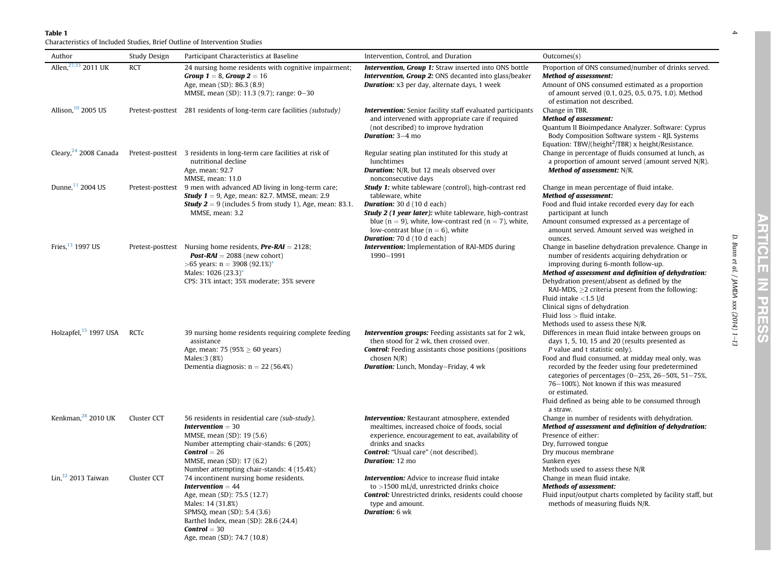<span id="page-3-0"></span>Characteristics of Included Studies, Brief Outline of Intervention Studies

| Author                            | Study Design | Participant Characteristics at Baseline                                                                                                                                                                                                           | Intervention, Control, and Duration                                                                                                                                                                                                                                                                                           | Outcomes(s)                                                                                                                                                                                                                                                                                                                                                                                                                                |
|-----------------------------------|--------------|---------------------------------------------------------------------------------------------------------------------------------------------------------------------------------------------------------------------------------------------------|-------------------------------------------------------------------------------------------------------------------------------------------------------------------------------------------------------------------------------------------------------------------------------------------------------------------------------|--------------------------------------------------------------------------------------------------------------------------------------------------------------------------------------------------------------------------------------------------------------------------------------------------------------------------------------------------------------------------------------------------------------------------------------------|
| Allen, 27,33 2011 UK              | <b>RCT</b>   | 24 nursing home residents with cognitive impairment;<br><b>Group 1</b> = 8, <b>Group 2</b> = 16<br>Age, mean (SD): 86.3 (8.9)<br>MMSE, mean (SD): 11.3 (9.7); range: 0-30                                                                         | Intervention, Group 1: Straw inserted into ONS bottle<br><b>Intervention, Group 2: ONS decanted into glass/beaker</b><br><b>Duration:</b> x3 per day, alternate days, 1 week                                                                                                                                                  | Proportion of ONS consumed/number of drinks served.<br><b>Method of assessment:</b><br>Amount of ONS consumed estimated as a proportion<br>of amount served (0.1, 0.25, 0.5, 0.75, 1.0). Method<br>of estimation not described.                                                                                                                                                                                                            |
| Allison, 10 2005 US               |              | Pretest-posttest 281 residents of long-term care facilities (substudy)                                                                                                                                                                            | <b>Intervention:</b> Senior facility staff evaluated participants<br>and intervened with appropriate care if required<br>(not described) to improve hydration<br><b>Duration: 3-4 mo</b>                                                                                                                                      | Change in TBR.<br><b>Method of assessment:</b><br>Quantum II Bioimpedance Analyzer. Software: Cyprus<br>Body Composition Software system - RJL Systems<br>Equation: TBW/(height <sup>2</sup> /TBR) x height/Resistance.                                                                                                                                                                                                                    |
| Cleary, <sup>24</sup> 2008 Canada |              | Pretest-posttest 3 residents in long-term care facilities at risk of<br>nutritional decline<br>Age, mean: 92.7<br>MMSE, mean: 11.0                                                                                                                | Regular seating plan instituted for this study at<br>lunchtimes<br><b>Duration:</b> N/R, but 12 meals observed over<br>nonconsecutive days                                                                                                                                                                                    | Change in percentage of fluids consumed at lunch, as<br>a proportion of amount served (amount served $N/R$ ).<br>Method of assessment: N/R.                                                                                                                                                                                                                                                                                                |
| Dunne, <sup>11</sup> 2004 US      |              | Pretest-posttest 9 men with advanced AD living in long-term care;<br><b>Study 1</b> = 9, Age, mean: 82.7. MMSE, mean: 2.9<br><b>Study 2</b> = 9 (includes 5 from study 1), Age, mean: 83.1.<br>MMSE, mean: 3.2                                    | <b>Study 1:</b> white tableware (control), high-contrast red<br>tableware, white<br><b>Duration:</b> 30 d (10 d each)<br>Study 2 (1 year later): white tableware, high-contrast<br>blue ( $n = 9$ ), white, low-contrast red ( $n = 7$ ), white,<br>low-contrast blue ( $n = 6$ ), white<br><b>Duration:</b> 70 d (10 d each) | Change in mean percentage of fluid intake.<br><b>Method of assessment:</b><br>Food and fluid intake recorded every day for each<br>participant at lunch<br>Amount consumed expressed as a percentage of<br>amount served. Amount served was weighed in<br>ounces.                                                                                                                                                                          |
| Fries. $13$ 1997 US               |              | Pretest-posttest Nursing home residents, $Pre-RAI = 2128$ ;<br><b>Post-RAI</b> = 2088 (new cohort)<br>$>65$ years: n = 3908 (92.1%)*<br>Males: 1026 (23.3)*<br>CPS: 31% intact; 35% moderate; 35% severe                                          | <b>Intervention:</b> Implementation of RAI-MDS during<br>1990-1991                                                                                                                                                                                                                                                            | Change in baseline dehydration prevalence. Change in<br>number of residents acquiring dehydration or<br>improving during 6-month follow-up.<br>Method of assessment and definition of dehydration:<br>Dehydration present/absent as defined by the<br>RAI-MDS, $>2$ criteria present from the following:<br>Fluid intake $<$ 1.5 l/d<br>Clinical signs of dehydration<br>Fluid $loss$ > fluid intake.<br>Methods used to assess these N/R. |
| Holzapfel, <sup>15</sup> 1997 USA | <b>RCTC</b>  | 39 nursing home residents requiring complete feeding<br>assistance<br>Age, mean: 75 (95% $\geq$ 60 years)<br>Males: 3 (8%)<br>Dementia diagnosis: $n = 22$ (56.4%)                                                                                | <b>Intervention groups:</b> Feeding assistants sat for 2 wk,<br>then stood for 2 wk, then crossed over.<br><b>Control:</b> Feeding assistants chose positions (positions<br>chosen $N/R$ )<br><b>Duration:</b> Lunch, Monday-Friday, 4 wk                                                                                     | Differences in mean fluid intake between groups on<br>days 1, 5, 10, 15 and 20 (results presented as<br>P value and t statistic only).<br>Food and fluid consumed, at midday meal only, was<br>recorded by the feeder using four predetermined<br>categories of percentages (0-25%, 26-50%, 51-75%,<br>76-100%). Not known if this was measured<br>or estimated.<br>Fluid defined as being able to be consumed through<br>a straw.         |
| Kenkman, <sup>28</sup> 2010 UK    | Cluster CCT  | 56 residents in residential care (sub-study).<br><b>Intervention</b> $=$ 30<br>MMSE, mean (SD): 19 (5.6)<br>Number attempting chair-stands: 6 (20%)<br>$Control = 26$<br>MMSE, mean (SD): 17 (6.2)<br>Number attempting chair-stands: 4 (15.4%)   | <b>Intervention:</b> Restaurant atmosphere, extended<br>mealtimes, increased choice of foods, social<br>experience, encouragement to eat, availability of<br>drinks and snacks<br><b>Control:</b> "Usual care" (not described).<br>Duration: 12 mo                                                                            | Change in number of residents with dehydration.<br>Method of assessment and definition of dehydration:<br>Presence of either:<br>Dry, furrowed tongue<br>Dry mucous membrane<br>Sunken eyes<br>Methods used to assess these N/R                                                                                                                                                                                                            |
| Lin, $32$ 2013 Taiwan             | Cluster CCT  | 74 incontinent nursing home residents.<br><b>Intervention</b> $= 44$<br>Age, mean (SD): 75.5 (12.7)<br>Males: 14 (31.8%)<br>SPMSQ, mean (SD): 5.4 (3.6)<br>Barthel Index, mean (SD): 28.6 (24.4)<br>$Control = 30$<br>Age, mean (SD): 74.7 (10.8) | <b>Intervention:</b> Advice to increase fluid intake<br>to $>$ 1500 mL/d, unrestricted drinks choice<br><b>Control:</b> Unrestricted drinks, residents could choose<br>type and amount.<br><b>Duration:</b> 6 wk                                                                                                              | Change in mean fluid intake.<br><b>Methods of assessment:</b><br>Fluid input/output charts completed by facility staff, but<br>methods of measuring fluids N/R.                                                                                                                                                                                                                                                                            |

D. Bunn et al. / JAMDA xxx (2014) 1 D. Bunn et al. / JAMDA xxx (2014) 1–13

4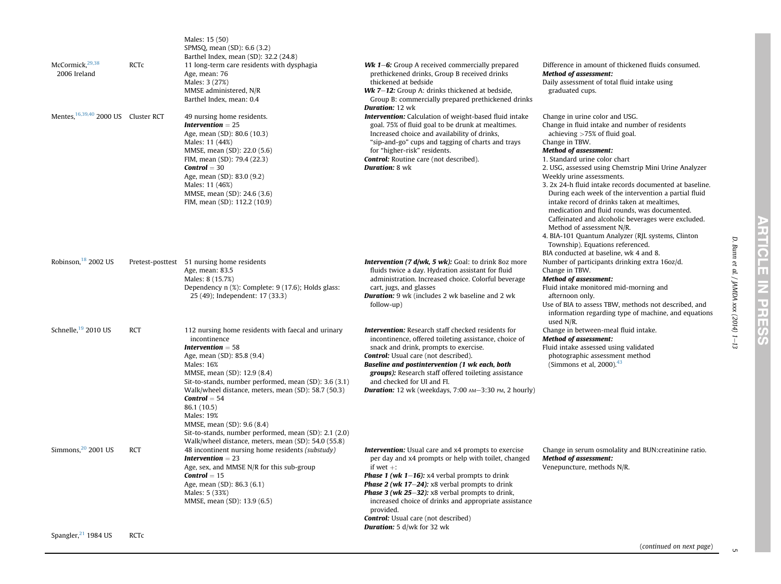| McCormick, 29,38<br>2006 Ireland                | <b>RCTC</b> | Males: 15 (50)<br>SPMSQ, mean (SD): 6.6 (3.2)<br>Barthel Index, mean (SD): 32.2 (24.8)<br>11 long-term care residents with dysphagia<br>Age, mean: 76<br>Males: 3 (27%)<br>MMSE administered, N/R<br>Barthel Index, mean: 0.4                                                                                                                                                                                                                                                                          | <b>Wk 1–6:</b> Group A received commercially prepared<br>prethickened drinks, Group B received drinks<br>thickened at bedside<br>Wk 7-12: Group A: drinks thickened at bedside,<br>Group B: commercially prepared prethickened drinks                                                                                                                                                                                                                                 | Difference in amount of thickened fluids consumed.<br><b>Method of assessment:</b><br>Daily assessment of total fluid intake using<br>graduated cups.                                                                                                                                                                                                                                                                                                                                                                                                                                                                                                                                                                                |
|-------------------------------------------------|-------------|--------------------------------------------------------------------------------------------------------------------------------------------------------------------------------------------------------------------------------------------------------------------------------------------------------------------------------------------------------------------------------------------------------------------------------------------------------------------------------------------------------|-----------------------------------------------------------------------------------------------------------------------------------------------------------------------------------------------------------------------------------------------------------------------------------------------------------------------------------------------------------------------------------------------------------------------------------------------------------------------|--------------------------------------------------------------------------------------------------------------------------------------------------------------------------------------------------------------------------------------------------------------------------------------------------------------------------------------------------------------------------------------------------------------------------------------------------------------------------------------------------------------------------------------------------------------------------------------------------------------------------------------------------------------------------------------------------------------------------------------|
| Mentes. <sup>16,39,40</sup> 2000 US Cluster RCT |             | 49 nursing home residents.<br><b>Intervention</b> $= 25$<br>Age, mean (SD): 80.6 (10.3)<br>Males: 11 (44%)<br>MMSE, mean (SD): 22.0 (5.6)<br>FIM, mean (SD): 79.4 (22.3)<br>$Control = 30$<br>Age, mean (SD): 83.0 (9.2)<br>Males: 11 (46%)<br>MMSE, mean (SD): 24.6 (3.6)<br>FIM, mean (SD): 112.2 (10.9)                                                                                                                                                                                             | <b>Duration: 12 wk</b><br><b>Intervention:</b> Calculation of weight-based fluid intake<br>goal. 75% of fluid goal to be drunk at mealtimes.<br>Increased choice and availability of drinks,<br>"sip-and-go" cups and tagging of charts and trays<br>for "higher-risk" residents.<br><b>Control:</b> Routine care (not described).<br><b>Duration: 8 wk</b>                                                                                                           | Change in urine color and USG.<br>Change in fluid intake and number of residents<br>achieving $>75\%$ of fluid goal.<br>Change in TBW.<br><b>Method of assessment:</b><br>1. Standard urine color chart<br>2. USG, assessed using Chemstrip Mini Urine Analyzer<br>Weekly urine assessments.<br>3. 2x 24-h fluid intake records documented at baseline.<br>During each week of the intervention a partial fluid<br>intake record of drinks taken at mealtimes,<br>medication and fluid rounds, was documented.<br>Caffeinated and alcoholic beverages were excluded.<br>Method of assessment N/R.<br>4. BIA-101 Quantum Analyzer (RJL systems, Clinton<br>Township). Equations referenced.<br>BIA conducted at baseline, wk 4 and 8. |
| Robinson, $18$ 2002 US                          |             | Pretest-posttest 51 nursing home residents<br>Age, mean: 83.5<br>Males: 8 (15.7%)<br>Dependency n (%): Complete: 9 (17.6); Holds glass:<br>25 (49); Independent: 17 (33.3)                                                                                                                                                                                                                                                                                                                             | <b>Intervention (7 d/wk, 5 wk):</b> Goal: to drink 8oz more<br>fluids twice a day. Hydration assistant for fluid<br>administration. Increased choice. Colorful beverage<br>cart, jugs, and glasses<br><b>Duration:</b> 9 wk (includes 2 wk baseline and 2 wk<br>follow-up)                                                                                                                                                                                            | Number of participants drinking extra 16oz/d.<br>Change in TBW.<br><b>Method of assessment:</b><br>Fluid intake monitored mid-morning and<br>afternoon only.<br>Use of BIA to assess TBW, methods not described, and<br>information regarding type of machine, and equations<br>used N/R.                                                                                                                                                                                                                                                                                                                                                                                                                                            |
| Schnelle, <sup>19</sup> 2010 US                 | <b>RCT</b>  | 112 nursing home residents with faecal and urinary<br>incontinence<br><b>Intervention</b> $= 58$<br>Age, mean (SD): 85.8 (9.4)<br><b>Males: 16%</b><br>MMSE, mean (SD): 12.9 (8.4)<br>Sit-to-stands, number performed, mean (SD): 3.6 (3.1)<br>Walk/wheel distance, meters, mean (SD): 58.7 (50.3)<br>$Control = 54$<br>86.1 (10.5)<br><b>Males: 19%</b><br>MMSE, mean (SD): 9.6 (8.4)<br>Sit-to-stands, number performed, mean (SD): 2.1 (2.0)<br>Walk/wheel distance, meters, mean (SD): 54.0 (55.8) | <b>Intervention:</b> Research staff checked residents for<br>incontinence, offered toileting assistance, choice of<br>snack and drink, prompts to exercise.<br><b>Control:</b> Usual care (not described).<br>Baseline and postintervention (1 wk each, both<br>groups): Research staff offered toileting assistance<br>and checked for UI and FI.<br><b>Duration:</b> 12 wk (weekdays, $7:00$ $AM-3:30$ $PM$ , 2 hourly)                                             | Change in between-meal fluid intake.<br><b>Method of assessment:</b><br>Fluid intake assessed using validated<br>photographic assessment method<br>(Simmons et al, $2000$ ). <sup>43</sup>                                                                                                                                                                                                                                                                                                                                                                                                                                                                                                                                           |
| Simmons, $20$ 2001 US                           | <b>RCT</b>  | 48 incontinent nursing home residents (substudy)<br><b>Intervention</b> $= 23$<br>Age, sex, and MMSE N/R for this sub-group<br>$Control = 15$<br>Age, mean (SD): 86.3 (6.1)<br>Males: 5 (33%)<br>MMSE, mean (SD): 13.9 (6.5)                                                                                                                                                                                                                                                                           | <b>Intervention:</b> Usual care and x4 prompts to exercise<br>per day and x4 prompts or help with toilet, changed<br>if wet $+$ :<br><b>Phase 1 (wk 1–16):</b> x4 verbal prompts to drink<br><b>Phase 2 (wk 17–24):</b> x8 verbal prompts to drink<br><b>Phase 3 (wk 25-32):</b> x8 verbal prompts to drink,<br>increased choice of drinks and appropriate assistance<br>provided.<br><b>Control:</b> Usual care (not described)<br><b>Duration:</b> 5 d/wk for 32 wk | Change in serum osmolality and BUN: creatinine ratio.<br><b>Method of assessment:</b><br>Venepuncture, methods N/R.                                                                                                                                                                                                                                                                                                                                                                                                                                                                                                                                                                                                                  |
| Spangler, <sup>21</sup> 1984 US                 | <b>RCTC</b> |                                                                                                                                                                                                                                                                                                                                                                                                                                                                                                        |                                                                                                                                                                                                                                                                                                                                                                                                                                                                       |                                                                                                                                                                                                                                                                                                                                                                                                                                                                                                                                                                                                                                                                                                                                      |

D. Bunn et al. / JAMDA xxx (2014) 1 D. Bunn et al. / JAMDA xxx (2014) 1–13

.<br>ה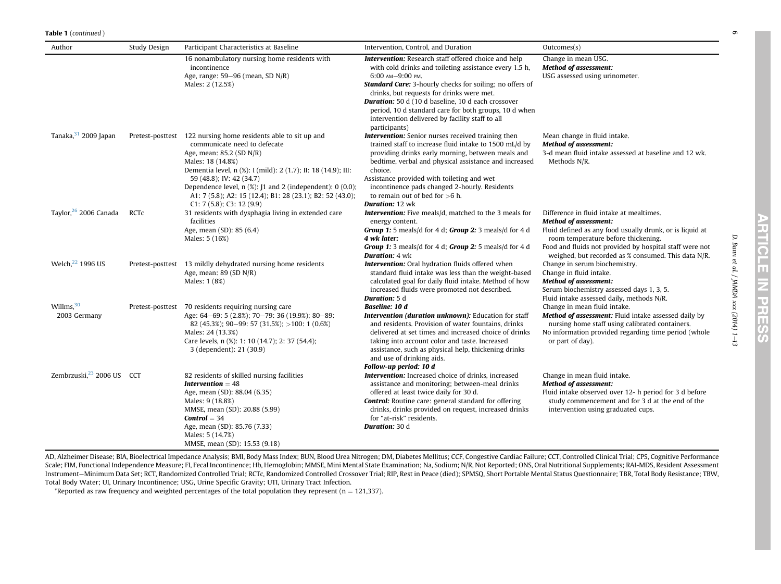| Author                                | Study Design | Participant Characteristics at Baseline                                                                                                                                                                                                                                                                                                                                                              | Intervention, Control, and Duration                                                                                                                                                                                                                                                                                                                                                                                                                 | Outcomes(s)                                                                                                                                                                                                                                                                                   |
|---------------------------------------|--------------|------------------------------------------------------------------------------------------------------------------------------------------------------------------------------------------------------------------------------------------------------------------------------------------------------------------------------------------------------------------------------------------------------|-----------------------------------------------------------------------------------------------------------------------------------------------------------------------------------------------------------------------------------------------------------------------------------------------------------------------------------------------------------------------------------------------------------------------------------------------------|-----------------------------------------------------------------------------------------------------------------------------------------------------------------------------------------------------------------------------------------------------------------------------------------------|
|                                       |              | 16 nonambulatory nursing home residents with<br>incontinence<br>Age, range: 59–96 (mean, SD N/R)<br>Males: 2 (12.5%)                                                                                                                                                                                                                                                                                 | <b>Intervention:</b> Research staff offered choice and help<br>with cold drinks and toileting assistance every 1.5 h,<br>6:00 AM-9:00 PM.<br><b>Standard Care:</b> 3-hourly checks for soiling; no offers of<br>drinks, but requests for drinks were met.<br><b>Duration:</b> 50 d (10 d baseline, 10 d each crossover<br>period, 10 d standard care for both groups, 10 d when<br>intervention delivered by facility staff to all<br>participants) | Change in mean USG.<br><b>Method of assessment:</b><br>USG assessed using urinometer.                                                                                                                                                                                                         |
| Tanaka, 31 2009 Japan                 |              | Pretest-posttest 122 nursing home residents able to sit up and<br>communicate need to defecate<br>Age, mean: 85.2 (SD N/R)<br>Males: 18 (14.8%)<br>Dementia level, n (%): I (mild): 2 (1.7); II: 18 (14.9); III:<br>59 (48.8); IV: 42 (34.7)<br>Dependence level, $n$ (%): $1$ and 2 (independent): 0 (0.0);<br>A1: 7 (5.8); A2: 15 (12.4); B1: 28 (23.1); B2: 52 (43.0);<br>C1: 7(5.8); C3: 12(9.9) | <b>Intervention:</b> Senior nurses received training then<br>trained staff to increase fluid intake to 1500 mL/d by<br>providing drinks early morning, between meals and<br>bedtime, verbal and physical assistance and increased<br>choice.<br>Assistance provided with toileting and wet<br>incontinence pads changed 2-hourly. Residents<br>to remain out of bed for $>6$ h.<br><b>Duration: 12 wk</b>                                           | Mean change in fluid intake.<br><b>Method of assessment:</b><br>3-d mean fluid intake assessed at baseline and 12 wk.<br>Methods N/R.                                                                                                                                                         |
| Taylor, <sup>26</sup> 2006 Canada     | RCTc         | 31 residents with dysphagia living in extended care<br>facilities<br>Age, mean (SD): 85 (6.4)<br>Males: 5 (16%)                                                                                                                                                                                                                                                                                      | <b>Intervention:</b> Five meals/d, matched to the 3 meals for<br>energy content.<br>Group 1: 5 meals/d for 4 d; Group 2: 3 meals/d for 4 d<br>4 wk later:<br>Group 1: 3 meals/d for 4 d; Group 2: 5 meals/d for 4 d<br><b>Duration:</b> 4 wk                                                                                                                                                                                                        | Difference in fluid intake at mealtimes.<br><b>Method of assessment:</b><br>Fluid defined as any food usually drunk, or is liquid at<br>room temperature before thickening.<br>Food and fluids not provided by hospital staff were not<br>weighed, but recorded as % consumed. This data N/R. |
| Welch, <sup>22</sup> 1996 US          |              | Pretest-posttest 13 mildly dehydrated nursing home residents<br>Age, mean: $89$ (SD N/R)<br>Males: 1 (8%)                                                                                                                                                                                                                                                                                            | <b>Intervention:</b> Oral hydration fluids offered when<br>standard fluid intake was less than the weight-based<br>calculated goal for daily fluid intake. Method of how<br>increased fluids were promoted not described.<br><b>Duration:</b> 5 d                                                                                                                                                                                                   | Change in serum biochemistry.<br>Change in fluid intake.<br><b>Method of assessment:</b><br>Serum biochemistry assessed days 1, 3, 5.<br>Fluid intake assessed daily, methods N/R.                                                                                                            |
| Willms, $30$<br>2003 Germany          |              | Pretest-posttest 70 residents requiring nursing care<br>Age: 64-69: 5 (2.8%); 70-79: 36 (19.9%); 80-89:<br>$82(45.3\%)$ ; 90-99; 57 (31.5%); >100; 1 (0.6%)<br>Males: 24 (13.3%)<br>Care levels, n (%): 1: 10 (14.7); 2: 37 (54.4);<br>3 (dependent): 21 (30.9)                                                                                                                                      | Baseline: 10 d<br>Intervention (duration unknown): Education for staff<br>and residents. Provision of water fountains, drinks<br>delivered at set times and increased choice of drinks<br>taking into account color and taste. Increased<br>assistance, such as physical help, thickening drinks<br>and use of drinking aids.<br>Follow-up period: 10 d                                                                                             | Change in mean fluid intake.<br>Method of assessment: Fluid intake assessed daily by<br>nursing home staff using calibrated containers.<br>No information provided regarding time period (whole<br>or part of day).                                                                           |
| Zembrzuski, <sup>23</sup> 2006 US CCT |              | 82 residents of skilled nursing facilities<br><b>Intervention</b> $= 48$<br>Age, mean (SD): 88.04 (6.35)<br>Males: 9 (18.8%)<br>MMSE, mean (SD): 20.88 (5.99)<br>$Control = 34$<br>Age, mean (SD): 85.76 (7.33)<br>Males: 5 (14.7%)<br>MMSE, mean (SD): 15.53 (9.18)                                                                                                                                 | <b>Intervention:</b> Increased choice of drinks, increased<br>assistance and monitoring; between-meal drinks<br>offered at least twice daily for 30 d.<br><b>Control:</b> Routine care: general standard for offering<br>drinks, drinks provided on request, increased drinks<br>for "at-risk" residents.<br>Duration: 30 d                                                                                                                         | Change in mean fluid intake.<br><b>Method of assessment:</b><br>Fluid intake observed over 12- h period for 3 d before<br>study commencement and for 3 d at the end of the<br>intervention using graduated cups.                                                                              |

AD, Alzheimer Disease; BIA, Bioelectrical Impedance Analysis; BMI, Body Mass Index; BUN, Blood Urea Nitrogen; DM, Diabetes Mellitus; CCF, Congestive Cardiac Failure; CCT, Controlled Clinical Trial; CPS, Cognitive Performance Scale; FIM, Functional Independence Measure; FI, Fecal Incontinence; Hb, Hemoglobin; MMSE, Mini Mental State Examination; Na, Sodium; N/R, Not Reported; ONS, Oral Nutritional Supplements; RAI-MDS, Resident Assessment Instrument-Minimum Data Set; RCT, Randomized Controlled Trial; RCTc, Randomized Controlled Crossover Trial; RIP, Rest in Peace (died); SPMSQ, Short Portable Mental Status Questionnaire; TBR, Total Body Resistance; TBW, Total Body Water; UI, Urinary Incontinence; USG, Urine Specifi<sup>c</sup> Gravity; UTI, Urinary Tract Infection.

\*Reported as raw frequency and weighted percentages of the total population they represent ( $n = 121,337$ ).

 $\circ$ 

D. Bunn et al. / JAMDA xxx (2014) 1 D. Bunn et al. / JAMDA xxx (2014) 1-13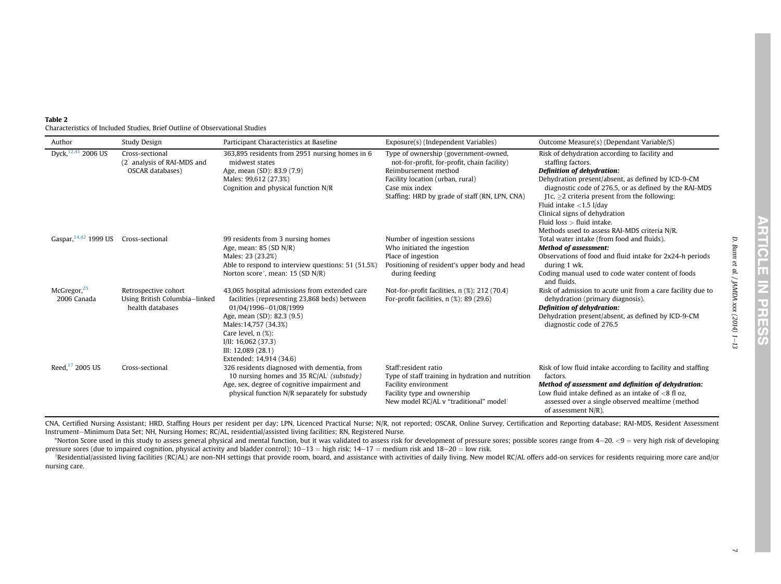<span id="page-6-0"></span>

| Table 2 |                                                                             |
|---------|-----------------------------------------------------------------------------|
|         | Characteristics of Included Studies, Brief Outline of Observational Studies |

| Author                                           | Study Design                                                                                      | Participant Characteristics at Baseline                                                                                                                                                                                                                                               | Exposure(s) (Independent Variables)                                                                                                                                                                                 | Outcome Measure(s) (Dependant Variable/S)                                                                                                                                                                                                                                                                                                                                                                                    |
|--------------------------------------------------|---------------------------------------------------------------------------------------------------|---------------------------------------------------------------------------------------------------------------------------------------------------------------------------------------------------------------------------------------------------------------------------------------|---------------------------------------------------------------------------------------------------------------------------------------------------------------------------------------------------------------------|------------------------------------------------------------------------------------------------------------------------------------------------------------------------------------------------------------------------------------------------------------------------------------------------------------------------------------------------------------------------------------------------------------------------------|
| Dyck, 12,41 2006 US                              | Cross-sectional<br>(2 <sup><math>\degree</math></sup> analysis of RAI-MDS and<br>OSCAR databases) | 363,895 residents from 2951 nursing homes in 6<br>midwest states<br>Age, mean (SD): 83.9 (7.9)<br>Males: 99,612 (27.3%)<br>Cognition and physical function N/R                                                                                                                        | Type of ownership (government-owned,<br>not-for-profit, for-profit, chain facility)<br>Reimbursement method<br>Facility location (urban, rural)<br>Case mix index<br>Staffing: HRD by grade of staff (RN, LPN, CNA) | Risk of dehydration according to facility and<br>staffing factors.<br>Definition of dehydration:<br>Dehydration present/absent, as defined by ICD-9-CM<br>diagnostic code of 276.5, or as defined by the RAI-MDS<br>$\vert$ 1c, $\geq$ 2 criteria present from the following:<br>Fluid intake $<$ 1.5 l/day<br>Clinical signs of dehydration<br>Fluid $loss$ > fluid intake.<br>Methods used to assess RAI-MDS criteria N/R. |
| Gaspar, <sup>14,42</sup> 1999 US Cross-sectional |                                                                                                   | 99 residents from 3 nursing homes<br>Age, mean: $85$ (SD N/R)<br>Males: 23 (23.2%)<br>Able to respond to interview questions: 51 (51.5%)<br>Norton score*, mean: 15 (SD N/R)                                                                                                          | Number of ingestion sessions<br>Who initiated the ingestion<br>Place of ingestion<br>Positioning of resident's upper body and head<br>during feeding                                                                | Total water intake (from food and fluids).<br><b>Method of assessment:</b><br>Observations of food and fluid intake for 2x24-h periods<br>during 1 wk.<br>Coding manual used to code water content of foods<br>and fluids.                                                                                                                                                                                                   |
| McGregor, <sup>25</sup><br>2006 Canada           | Retrospective cohort<br>Using British Columbia-linked<br>health databases                         | 43,065 hospital admissions from extended care<br>facilities (representing 23,868 beds) between<br>01/04/1996-01/08/1999<br>Age, mean (SD): 82.3 (9.5)<br>Males: 14,757 (34.3%)<br>Care level, $n$ $(\%)$ :<br>$I/II$ : 16,062 (37.3)<br>III: 12,089 (28.1)<br>Extended: 14,914 (34.6) | Not-for-profit facilities, n (%): 212 (70.4)<br>For-profit facilities, $n$ $(\%)$ : 89 (29.6)                                                                                                                       | Risk of admission to acute unit from a care facility due to<br>dehydration (primary diagnosis).<br>Definition of dehydration:<br>Dehydration present/absent, as defined by ICD-9-CM<br>diagnostic code of 276.5                                                                                                                                                                                                              |
| Reed, 17 2005 US                                 | Cross-sectional                                                                                   | 326 residents diagnosed with dementia, from<br>10 nursing homes and 35 RC/AL <sup>†</sup> (substudy)<br>Age, sex, degree of cognitive impairment and<br>physical function N/R separately for substudy                                                                                 | Staff:resident ratio<br>Type of staff training in hydration and nutrition<br>Facility environment<br>Facility type and ownership<br>New model RC/AL v "traditional" model <sup>1</sup>                              | Risk of low fluid intake according to facility and staffing<br>factors.<br>Method of assessment and definition of dehydration:<br>Low fluid intake defined as an intake of $< 8$ fl oz.<br>assessed over a single observed mealtime (method<br>of assessment N/R).                                                                                                                                                           |

CNA, Certified Nursing Assistant; HRD, Staffing Hours per resident per day; LPN, Licenced Practical Nurse; N/R, not reported; OSCAR, Online Survey, Certification and Reporting database; RAI-MDS, Resident Assessment Instrument-Minimum Data Set; NH, Nursing Homes; RC/AL, residential/assisted living facilities; RN, Registered Nurse.

\*Norton Score used in this study to assess general physical and mental function, but it was validated to assess risk for development of pressure sores; possible scores range from 4-20. <9 = very high risk of developing pressure sores (due to impaired cognition, physical activity and bladder control);  $10-13 =$  high risk;  $14-17 =$  medium risk and  $18-20 =$  low risk.

\*Residential/assisted living facilities (RC/AL) are non-NH settings that provide room, board, and assistance with activities of daily living. New model RC/AL offers add-on services for residents requiring more care and/or nursing care.

D. Bunn et al. / JAMDA xxx (2014) 1 D. Bunn et al. / JAMDA xxx (2014) 1-13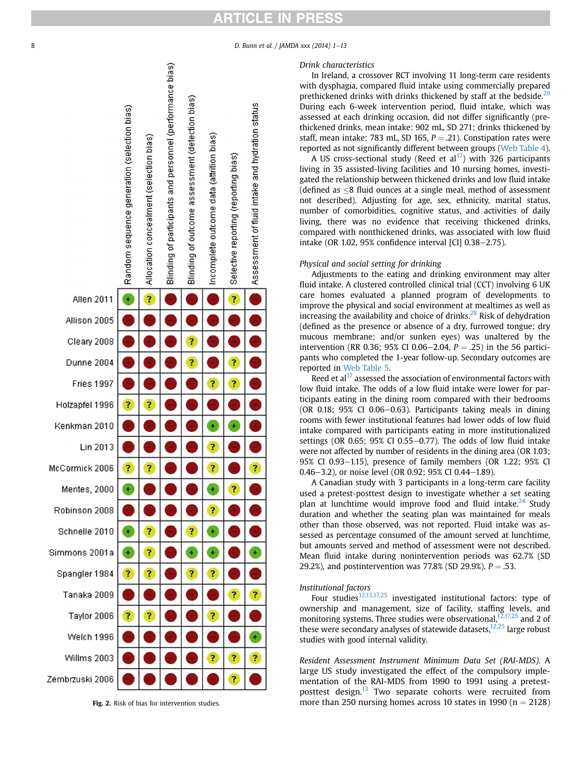#### <span id="page-7-0"></span>8 D. Bunn et al. / JAMDA xxx (2014) 1-13



#### Drink characteristics

In Ireland, a crossover RCT involving 11 long-term care residents with dysphagia, compared fluid intake using commercially prepared prethickened drinks with drinks thickened by staff at the bedside. $^{29}$  $^{29}$  $^{29}$ During each 6-week intervention period, fluid intake, which was assessed at each drinking occasion, did not differ significantly (prethickened drinks, mean intake: 902 mL, SD 271; drinks thickened by staff, mean intake: 783 mL, SD 165,  $P = .21$ ). Constipation rates were reported as not significantly different between groups (Web Table 4).

A US cross-sectional study (Reed et al<sup>[17](#page-12-0)</sup>) with 326 participants living in 35 assisted-living facilities and 10 nursing homes, investigated the relationship between thickened drinks and low fluid intake (defined as  $\leq 8$  fluid ounces at a single meal, method of assessment not described). Adjusting for age, sex, ethnicity, marital status, number of comorbidities, cognitive status, and activities of daily living, there was no evidence that receiving thickened drinks, compared with nonthickened drinks, was associated with low fluid intake (OR 1.02, 95% confidence interval  $|CI|$  0.38-2.75).

#### Physical and social setting for drinking

Adjustments to the eating and drinking environment may alter fluid intake. A clustered controlled clinical trial (CCT) involving 6 UK care homes evaluated a planned program of developments to improve the physical and social environment at mealtimes as well as increasing the availability and choice of drinks. $^{28}$  $^{28}$  $^{28}$  Risk of dehydration (defined as the presence or absence of a dry, furrowed tongue; dry mucous membrane; and/or sunken eyes) was unaltered by the intervention (RR 0.36; 95% CI 0.06–2.04,  $P = .25$ ) in the 56 participants who completed the 1-year follow-up. Secondary outcomes are reported in Web Table 5.

Reed et  $al^{17}$  assessed the association of environmental factors with low fluid intake. The odds of a low fluid intake were lower for participants eating in the dining room compared with their bedrooms (OR 0.18; 95% CI 0.06-0.63). Participants taking meals in dining rooms with fewer institutional features had lower odds of low fluid intake compared with participants eating in more institutionalized settings (OR 0.65; 95% CI 0.55 $-0.77$ ). The odds of low fluid intake were not affected by number of residents in the dining area (OR 1.03; 95% CI 0.93-1.15), presence of family members (OR 1.22; 95% CI 0.46–3.2), or noise level (OR 0.92; 95% CI 0.44–1.89).

A Canadian study with 3 participants in a long-term care facility used a pretest-posttest design to investigate whether a set seating plan at lunchtime would improve food and fluid intake. $24$  Study duration and whether the seating plan was maintained for meals other than those observed, was not reported. Fluid intake was assessed as percentage consumed of the amount served at lunchtime, but amounts served and method of assessment were not described. Mean fluid intake during nonintervention periods was 62.7% (SD 29.2%), and postintervention was 77.8% (SD 29.9%),  $P = .53$ .

### Institutional factors

Four studies<sup>12,13,17,25</sup> investigated institutional factors: type of ownership and management, size of facility, staffing levels, and monitoring systems. Three studies were observational,  $^{12,17,25}$  and 2 of these were secondary analyses of statewide datasets,<sup>12,25</sup> large robust studies with good internal validity.

Resident Assessment Instrument Minimum Data Set (RAI-MDS). A large US study investigated the effect of the compulsory implementation of the RAI-MDS from 1990 to 1991 using a pretest-posttest design.<sup>[13](#page-12-0)</sup> Two separate cohorts were recruited from Fig. 2. Risk of bias for intervention studies. more than 250 nursing homes across 10 states in 1990 (n = 2128)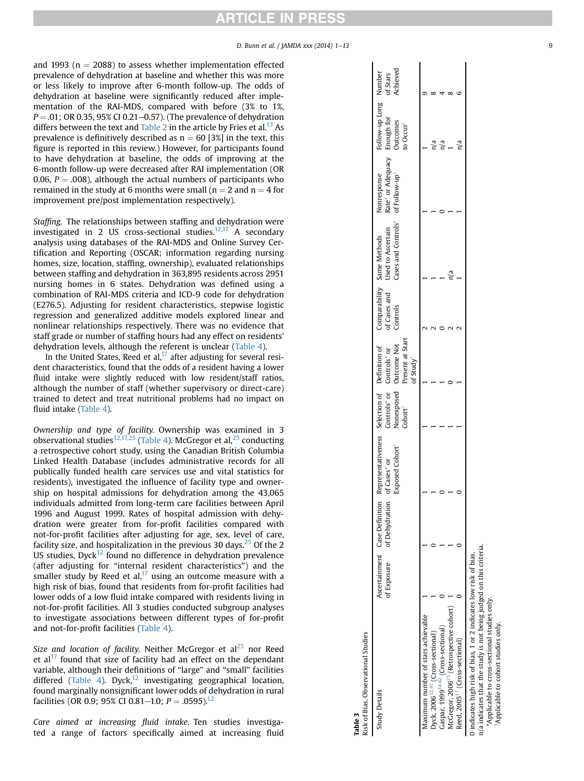## RTICLE IN PRESS

#### D. Bunn et al. / JAMDA xxx (2014) 1-13 9

<span id="page-8-0"></span>and 1993 ( $n = 2088$ ) to assess whether implementation effected prevalence of dehydration at baseline and whether this was more or less likely to improve after 6-month follow-up. The odds of dehydration at baseline were significantly reduced after implementation of the RAI-MDS, compared with before (3% to 1%,  $P = .01$ ; OR 0.35, 95% CI 0.21–0.57). (The prevalence of dehydration differs between the text and [Table 2](#page-6-0) in the article by Fries et al.<sup>13</sup> As prevalence is definitively described as  $n = 60$  [3%] in the text, this figure is reported in this review.) However, for participants found to have dehydration at baseline, the odds of improving at the 6-month follow-up were decreased after RAI implementation (OR 0.06,  $P = .008$ ), although the actual numbers of participants who remained in the study at 6 months were small ( $n = 2$  and  $n = 4$  for improvement pre/post implementation respectively).

Staffing. The relationships between staffing and dehydration were investigated in 2 US cross-sectional studies. $12,17$  A secondary analysis using databases of the RAI-MDS and Online Survey Certification and Reporting (OSCAR; information regarding nursing homes, size, location, staffing, ownership), evaluated relationships between staffing and dehydration in 363,895 residents across 2951 nursing homes in 6 states. Dehydration was defined using a combination of RAI-MDS criteria and ICD-9 code for dehydration (E276.5). Adjusting for resident characteristics, stepwise logistic regression and generalized additive models explored linear and nonlinear relationships respectively. There was no evidence that staff grade or number of staffing hours had any effect on residents' dehydration levels, although the referent is unclear ([Table 4\)](#page-9-0).

In the United States, Reed et al, $^{17}$  $^{17}$  $^{17}$  after adjusting for several resident characteristics, found that the odds of a resident having a lower fluid intake were slightly reduced with low resident/staff ratios, although the number of staff (whether supervisory or direct-care) trained to detect and treat nutritional problems had no impact on fluid intake ([Table 4](#page-9-0)).

Ownership and type of facility. Ownership was examined in 3 observational studies $^{12,17,25}$  $^{12,17,25}$  $^{12,17,25}$  [\(Table 4](#page-9-0)). McGregor et al, $^{25}$  $^{25}$  $^{25}$  conducting a retrospective cohort study, using the Canadian British Columbia Linked Health Database (includes administrative records for all publically funded health care services use and vital statistics for residents), investigated the influence of facility type and ownership on hospital admissions for dehydration among the 43,065 individuals admitted from long-term care facilities between April 1996 and August 1999. Rates of hospital admission with dehydration were greater from for-profit facilities compared with not-for-profit facilities after adjusting for age, sex, level of care, facility size, and hospitalization in the previous 30 days.<sup>[25](#page-12-0)</sup> Of the 2 US studies, Dyck $^{12}$  $^{12}$  $^{12}$  found no difference in dehydration prevalence (after adjusting for "internal resident characteristics") and the smaller study by Reed et al, $17$  using an outcome measure with a high risk of bias, found that residents from for-profit facilities had lower odds of a low fluid intake compared with residents living in not-for-profit facilities. All 3 studies conducted subgroup analyses to investigate associations between different types of for-profit and not-for-profit facilities ([Table 4](#page-9-0)).

Size and location of facility. Neither McGregor et  $al<sup>25</sup>$  nor Reed et al $17$  found that size of facility had an effect on the dependant variable, although their definitions of "large" and "small" facilities differed ([Table 4\)](#page-9-0). Dyck, $12$  investigating geographical location, found marginally nonsignificant lower odds of dehydration in rural facilities (OR 0.9; 95% CI 0.81–1.0;  $P = .0595$ ).<sup>12</sup>

Care aimed at increasing fluid intake. Ten studies investigated a range of factors specifically aimed at increasing fluid

| Risk of Bias, Observational Studies<br>Table 3                                                                                        |             |                             |                                                                                                                          |        |                                                                                     |          |                                                                                 |                                                                                   |                                                |                      |
|---------------------------------------------------------------------------------------------------------------------------------------|-------------|-----------------------------|--------------------------------------------------------------------------------------------------------------------------|--------|-------------------------------------------------------------------------------------|----------|---------------------------------------------------------------------------------|-----------------------------------------------------------------------------------|------------------------------------------------|----------------------|
| <b>Study Details</b>                                                                                                                  | of Exposure | of Dehydration of Cases* or | Ascertainment Case Definition Representativeness Selection of Definition of Comparability Same Methods<br>Exposed Cohort | Cohort | Nonexposed Outcome Not<br>Present at Start<br>Controls* or Controls* or<br>of Study | Controls | Cases and Controls* of Follow-up <sup>*</sup><br>of Cases and Used to Ascertain | Rate* or Adequacy Enough for<br>of Follow-up <sup>†</sup> Outcomes<br>Nonresponse | Follow-up Long Number<br>:o Occur <sup>†</sup> | Achieved<br>of Stars |
| Maximum number of stars achievable                                                                                                    |             |                             |                                                                                                                          |        |                                                                                     |          |                                                                                 |                                                                                   |                                                |                      |
| Dyck, 2006 <sup>12,41</sup> (Cross-sectional)                                                                                         |             |                             |                                                                                                                          |        |                                                                                     |          |                                                                                 |                                                                                   |                                                |                      |
| Gaspar, 1999 <sup>14,42</sup> (Cross-sectional)                                                                                       |             |                             |                                                                                                                          |        |                                                                                     |          |                                                                                 |                                                                                   |                                                |                      |
| McGregor, 2006 <sup>25</sup> (Retrospective cohort)                                                                                   |             |                             |                                                                                                                          |        |                                                                                     |          |                                                                                 |                                                                                   |                                                |                      |
| Reed, 2005 <sup>17</sup> (Cross-sectional)                                                                                            |             |                             |                                                                                                                          |        |                                                                                     |          |                                                                                 |                                                                                   |                                                |                      |
| n/a indicates that the study is not being judged on this criteria.<br>indicates high risk of bias, 1 or 2 indicates low risk of bias. |             |                             |                                                                                                                          |        |                                                                                     |          |                                                                                 |                                                                                   |                                                |                      |

\*Applicable to cross-sectional studies only. yApplicable to cohort studies only.

"Applicable to cross-sectional studies only. Applicable to cohort studies only.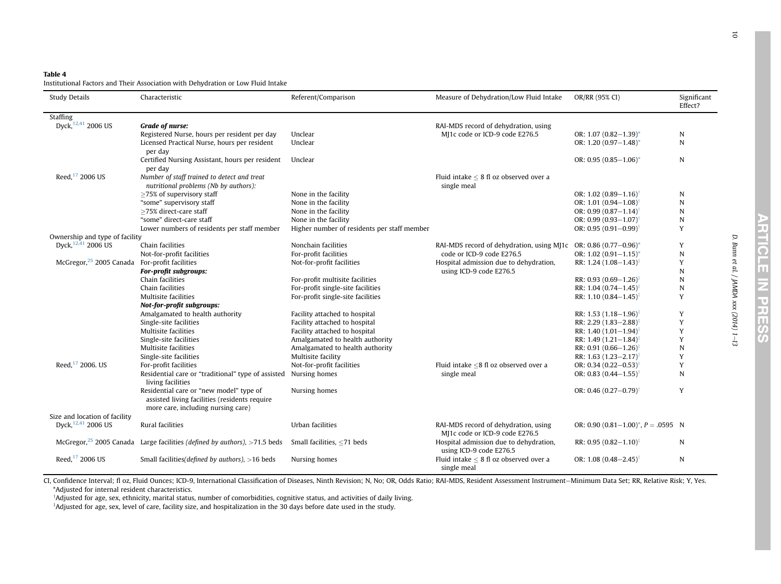## <span id="page-9-0"></span>Table 4

Institutional Factors and Their Association with Dehydration or Low Fluid Intake

| <b>Study Details</b>                                      | Characteristic                                                                           | Referent/Comparison                         | Measure of Dehydration/Low Fluid Intake                                | OR/RR (95% CI)                           | Significant<br>Effect?  |
|-----------------------------------------------------------|------------------------------------------------------------------------------------------|---------------------------------------------|------------------------------------------------------------------------|------------------------------------------|-------------------------|
| Staffing                                                  |                                                                                          |                                             |                                                                        |                                          |                         |
| Dyck, 12,41 2006 US                                       | Grade of nurse:                                                                          |                                             | RAI-MDS record of dehydration, using                                   |                                          |                         |
|                                                           | Registered Nurse, hours per resident per day                                             | Unclear                                     | MJ1c code or ICD-9 code E276.5                                         | OR: $1.07(0.82 - 1.39)^*$                | N                       |
|                                                           | Licensed Practical Nurse, hours per resident<br>per day                                  | Unclear                                     |                                                                        | OR: $1.20(0.97 - 1.48)^*$                | N                       |
|                                                           | Certified Nursing Assistant, hours per resident                                          | Unclear                                     |                                                                        | OR: 0.95 $(0.85-1.06)^*$                 | N                       |
|                                                           | per day                                                                                  |                                             |                                                                        |                                          |                         |
| Reed, <sup>17</sup> 2006 US                               | Number of staff trained to detect and treat                                              |                                             | Fluid intake $< 8$ fl oz observed over a                               |                                          |                         |
|                                                           | nutritional problems (Nb by authors):                                                    |                                             | single meal                                                            |                                          |                         |
|                                                           | $\geq$ 75% of supervisory staff                                                          | None in the facility                        |                                                                        | OR: $1.02(0.89 - 1.16)$                  | N                       |
|                                                           | "some" supervisory staff                                                                 | None in the facility                        |                                                                        | OR: 1.01 $(0.94 - 1.08)$                 | N                       |
|                                                           | >75% direct-care staff                                                                   | None in the facility                        |                                                                        | OR: $0.99(0.87 - 1.14)$                  | $\mathbf N$             |
|                                                           | "some" direct-care staff                                                                 | None in the facility                        |                                                                        | OR: $0.99(0.93 - 1.07)$                  | $\overline{\mathsf{N}}$ |
|                                                           | Lower numbers of residents per staff member                                              | Higher number of residents per staff member |                                                                        | OR: $0.95(0.91 - 0.99)$                  | Y                       |
| Ownership and type of facility                            |                                                                                          |                                             |                                                                        |                                          |                         |
| Dvck. <sup>12,41</sup> 2006 US                            | Chain facilities                                                                         | Nonchain facilities                         | RAI-MDS record of dehydration, using MJ1c                              | OR: 0.86 $(0.77-0.96)^*$                 | Y                       |
|                                                           | Not-for-profit facilities                                                                | For-profit facilities                       | code or ICD-9 code E276.5                                              | OR: $1.02$ (0.91-1.15)*                  | $\mathbb N$             |
| McGregor, <sup>25</sup> 2005 Canada For-profit facilities |                                                                                          | Not-for-profit facilities                   | Hospital admission due to dehydration,                                 | RR: 1.24 $(1.08-1.43)^{\ddagger}$        | Y                       |
|                                                           | For-profit subgroups:                                                                    |                                             | using ICD-9 code E276.5                                                |                                          | $\mathbf N$             |
|                                                           | Chain facilities                                                                         | For-profit multisite facilities             |                                                                        | RR: 0.93 $(0.69 - 1.26)^{\ddagger}$      | N                       |
|                                                           | Chain facilities                                                                         | For-profit single-site facilities           |                                                                        | RR: 1.04 $(0.74 - 1.45)^{\ddagger}$      | $\mathbf N$             |
|                                                           | Multisite facilities                                                                     | For-profit single-site facilities           |                                                                        | RR: $1.10(0.84 - 1.45)$                  | Y                       |
|                                                           | Not-for-profit subgroups:                                                                |                                             |                                                                        |                                          |                         |
|                                                           | Amalgamated to health authority                                                          | Facility attached to hospital               |                                                                        | RR: 1.53 $(1.18-1.96)^{\ddagger}$        | Y                       |
|                                                           | Single-site facilities                                                                   | Facility attached to hospital               |                                                                        | RR: 2.29 (1.83-2.88)                     | Y                       |
|                                                           | Multisite facilities                                                                     | Facility attached to hospital               |                                                                        | RR: 1.40 $(1.01-1.94)^{\ddagger}$        | Y                       |
|                                                           | Single-site facilities                                                                   | Amalgamated to health authority             |                                                                        | RR: $1.49(1.21 - 1.84)$                  | Y                       |
|                                                           | Multisite facilities                                                                     | Amalgamated to health authority             |                                                                        | RR: $0.91(0.66 - 1.26)$                  | $\mathbf N$             |
|                                                           | Single-site facilities                                                                   | Multisite facility                          |                                                                        | RR: 1.63 $(1.23 - 2.17)^{\ddagger}$      | Y                       |
| Reed, 17 2006. US                                         | For-profit facilities                                                                    | Not-for-profit facilities                   | Fluid intake $\leq$ 8 fl oz observed over a                            | OR: 0.34 $(0.22 - 0.53)$ <sup>†</sup>    | Y                       |
|                                                           | Residential care or "traditional" type of assisted Nursing homes<br>living facilities    |                                             | single meal                                                            | OR: 0.83 $(0.44 - 1.55)$ <sup>†</sup>    | N                       |
|                                                           | Residential care or "new model" type of<br>assisted living facilities (residents require | Nursing homes                               |                                                                        | OR: 0.46 $(0.27 - 0.79)^{\dagger}$       | Y                       |
|                                                           | more care, including nursing care)                                                       |                                             |                                                                        |                                          |                         |
| Size and location of facility<br>Dyck, 12,41 2006 US      | Rural facilities                                                                         | Urban facilities                            |                                                                        |                                          |                         |
|                                                           |                                                                                          |                                             | RAI-MDS record of dehydration, using<br>MJ1c code or ICD-9 code E276.5 | OR: 0.90 $(0.81-1.00)^*$ , $P = .0595$ N |                         |
|                                                           | McGregor, $25$ 2005 Canada Large facilities (defined by authors), $>71.5$ beds           | Small facilities, $\leq$ 71 beds            | Hospital admission due to dehydration,<br>using ICD-9 code E276.5      | RR: 0.95 $(0.82 - 1.10)^{\ddagger}$      | N                       |
| Reed, <sup>17</sup> 2006 US                               | Small facilities (defined by authors), $>16$ beds                                        | Nursing homes                               | Fluid intake $\leq 8$ fl oz observed over a<br>single meal             | OR: $1.08(0.48 - 2.45)$                  | N                       |

CI, Confidence Interval; fl oz, Fluid Ounces; ICD-9, International Classification of Diseases, Ninth Revision; N, No; OR, Odds Ratio; RAI-MDS, Resident Assessment Instrument-Minimum Data Set; RR, Relative Risk; Y, Yes. \*Adjusted for internal resident characteristics.

<sup>†</sup>Adjusted for age, sex, ethnicity, marital status, number of comorbidities, cognitive status, and activities of daily living.

<sup>‡</sup>Adjusted for age, sex, level of care, facility size, and hospitalization in the 30 days before date used in the study.

D. Bunn et al. / JAMDA xxx (2014) 1

D. Bunn et al. / JAMDA xxx (2014) 1-13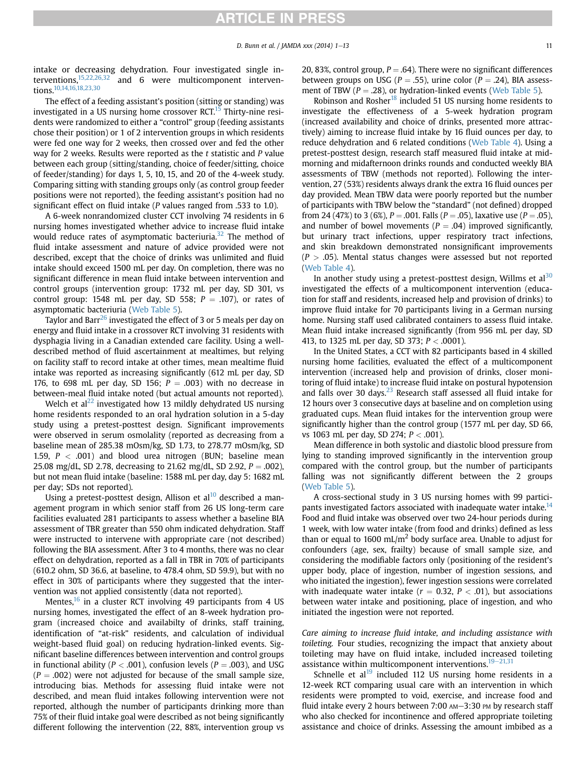intake or decreasing dehydration. Four investigated single interventions, $15,22,26,32$  and 6 were multicomponent interventions[.10,14,16,18,23,30](#page-12-0)

The effect of a feeding assistant's position (sitting or standing) was investigated in a US nursing home crossover RCT.<sup>[15](#page-12-0)</sup> Thirty-nine residents were randomized to either a "control" group (feeding assistants chose their position) or 1 of 2 intervention groups in which residents were fed one way for 2 weeks, then crossed over and fed the other way for 2 weeks. Results were reported as the  $t$  statistic and  $P$  value between each group (sitting/standing, choice of feeder/sitting, choice of feeder/standing) for days 1, 5, 10, 15, and 20 of the 4-week study. Comparing sitting with standing groups only (as control group feeder positions were not reported), the feeding assistant's position had no significant effect on fluid intake (P values ranged from .533 to 1.0).

A 6-week nonrandomized cluster CCT involving 74 residents in 6 nursing homes investigated whether advice to increase fluid intake would reduce rates of asymptomatic bacteriuria.<sup>32</sup> The method of fluid intake assessment and nature of advice provided were not described, except that the choice of drinks was unlimited and fluid intake should exceed 1500 mL per day. On completion, there was no significant difference in mean fluid intake between intervention and control groups (intervention group: 1732 mL per day, SD 301, vs control group: 1548 mL per day, SD 558;  $P = .107$ ), or rates of asymptomatic bacteriuria (Web Table 5).

Taylor and Barr<sup>26</sup> investigated the effect of 3 or 5 meals per day on energy and fluid intake in a crossover RCT involving 31 residents with dysphagia living in a Canadian extended care facility. Using a welldescribed method of fluid ascertainment at mealtimes, but relying on facility staff to record intake at other times, mean mealtime fluid intake was reported as increasing significantly (612 mL per day, SD 176, to 698 mL per day, SD 156;  $P = .003$ ) with no decrease in between-meal fluid intake noted (but actual amounts not reported).

Welch et al $^{22}$  investigated how 13 mildly dehydrated US nursing home residents responded to an oral hydration solution in a 5-day study using a pretest-posttest design. Significant improvements were observed in serum osmolality (reported as decreasing from a baseline mean of 285.38 mOsm/kg, SD 1.73, to 278.77 mOsm/kg, SD 1.59,  $P < .001$ ) and blood urea nitrogen (BUN; baseline mean 25.08 mg/dL, SD 2.78, decreasing to 21.62 mg/dL, SD 2.92,  $P = .002$ ), but not mean fluid intake (baseline: 1588 mL per day, day 5: 1682 mL per day; SDs not reported).

Using a pretest-posttest design, Allison et al $^{10}$  described a management program in which senior staff from 26 US long-term care facilities evaluated 281 participants to assess whether a baseline BIA assessment of TBR greater than 550 ohm indicated dehydration. Staff were instructed to intervene with appropriate care (not described) following the BIA assessment. After 3 to 4 months, there was no clear effect on dehydration, reported as a fall in TBR in 70% of participants (610.2 ohm, SD 36.6, at baseline, to 478.4 ohm, SD 59.9), but with no effect in 30% of participants where they suggested that the intervention was not applied consistently (data not reported).

Mentes, $16$  in a cluster RCT involving 49 participants from 4 US nursing homes, investigated the effect of an 8-week hydration program (increased choice and availabilty of drinks, staff training, identification of "at-risk" residents, and calculation of individual weight-based fluid goal) on reducing hydration-linked events. Significant baseline differences between intervention and control groups in functional ability ( $P < .001$ ), confusion levels ( $P = .003$ ), and USG  $(P = .002)$  were not adjusted for because of the small sample size, introducing bias. Methods for assessing fluid intake were not described, and mean fluid intakes following intervention were not reported, although the number of participants drinking more than 75% of their fluid intake goal were described as not being significantly different following the intervention (22, 88%, intervention group vs 20, 83%, control group,  $P = .64$ ). There were no significant differences between groups on USG ( $P = .55$ ), urine color ( $P = .24$ ), BIA assessment of TBW ( $P = .28$ ), or hydration-linked events (Web Table 5).

Robinson and Rosher<sup>18</sup> included 51 US nursing home residents to investigate the effectiveness of a 5-week hydration program (increased availability and choice of drinks, presented more attractively) aiming to increase fluid intake by 16 fluid ounces per day, to reduce dehydration and 6 related conditions (Web Table 4). Using a pretest-posttest design, research staff measured fluid intake at midmorning and midafternoon drinks rounds and conducted weekly BIA assessments of TBW (methods not reported). Following the intervention, 27 (53%) residents always drank the extra 16 fluid ounces per day provided. Mean TBW data were poorly reported but the number of participants with TBW below the "standard" (not defined) dropped from 24 (47%) to 3 (6%),  $P = .001$ . Falls ( $P = .05$ ), laxative use ( $P = .05$ ), and number of bowel movements ( $P = .04$ ) improved significantly, but urinary tract infections, upper respiratory tract infections, and skin breakdown demonstrated nonsignificant improvements  $(P > .05)$ . Mental status changes were assessed but not reported (Web Table 4).

In another study using a pretest-posttest design, Willms et  $al<sup>30</sup>$  $al<sup>30</sup>$  $al<sup>30</sup>$ investigated the effects of a multicomponent intervention (education for staff and residents, increased help and provision of drinks) to improve fluid intake for 70 participants living in a German nursing home. Nursing staff used calibrated containers to assess fluid intake. Mean fluid intake increased significantly (from 956 mL per day, SD 413, to 1325 mL per day, SD 373;  $P < .0001$ ).

In the United States, a CCT with 82 participants based in 4 skilled nursing home facilities, evaluated the effect of a multicomponent intervention (increased help and provision of drinks, closer monitoring of fluid intake) to increase fluid intake on postural hypotension and falls over 30 days. $^{23}$  $^{23}$  $^{23}$  Research staff assessed all fluid intake for 12 hours over 3 consecutive days at baseline and on completion using graduated cups. Mean fluid intakes for the intervention group were significantly higher than the control group (1577 mL per day, SD 66, vs 1063 mL per day, SD 274;  $P < .001$ ).

Mean difference in both systolic and diastolic blood pressure from lying to standing improved significantly in the intervention group compared with the control group, but the number of participants falling was not significantly different between the 2 groups (Web Table 5).

A cross-sectional study in 3 US nursing homes with 99 partici-pants investigated factors associated with inadequate water intake.<sup>[14](#page-12-0)</sup> Food and fluid intake was observed over two 24-hour periods during 1 week, with low water intake (from food and drinks) defined as less than or equal to 1600 mL/m<sup>2</sup> body surface area. Unable to adjust for confounders (age, sex, frailty) because of small sample size, and considering the modifiable factors only (positioning of the resident's upper body, place of ingestion, number of ingestion sessions, and who initiated the ingestion), fewer ingestion sessions were correlated with inadequate water intake ( $r = 0.32$ ,  $P < .01$ ), but associations between water intake and positioning, place of ingestion, and who initiated the ingestion were not reported.

Care aiming to increase fluid intake, and including assistance with toileting. Four studies, recognizing the impact that anxiety about toileting may have on fluid intake, included increased toileting assistance within multicomponent interventions.<sup>19–[21,31](#page-12-0)</sup>

Schnelle et al $<sup>19</sup>$  $<sup>19</sup>$  $<sup>19</sup>$  included 112 US nursing home residents in a</sup> 12-week RCT comparing usual care with an intervention in which residents were prompted to void, exercise, and increase food and fluid intake every 2 hours between 7:00 AM-3:30 PM by research staff who also checked for incontinence and offered appropriate toileting assistance and choice of drinks. Assessing the amount imbibed as a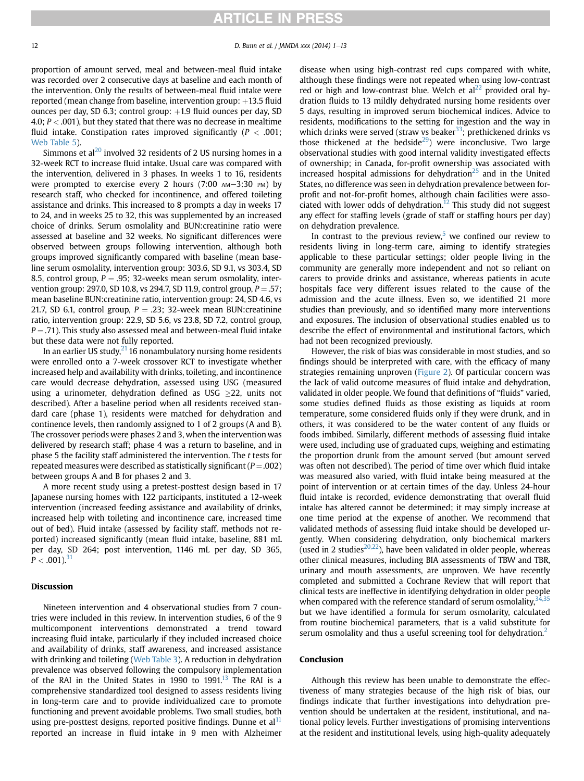## **ARTICLE IN PRESS**

proportion of amount served, meal and between-meal fluid intake was recorded over 2 consecutive days at baseline and each month of the intervention. Only the results of between-meal fluid intake were reported (mean change from baseline, intervention group:  $+13.5$  fluid ounces per day, SD 6.3; control group:  $+1.9$  fluid ounces per day, SD 4.0;  $P < .001$ ), but they stated that there was no decrease in mealtime fluid intake. Constipation rates improved significantly ( $P < .001$ ; Web Table 5).

Simmons et al<sup>[20](#page-12-0)</sup> involved 32 residents of 2 US nursing homes in a 32-week RCT to increase fluid intake. Usual care was compared with the intervention, delivered in 3 phases. In weeks 1 to 16, residents were prompted to exercise every 2 hours  $(7:00 \text{ AM}-3:30 \text{ PM})$  by research staff, who checked for incontinence, and offered toileting assistance and drinks. This increased to 8 prompts a day in weeks 17 to 24, and in weeks 25 to 32, this was supplemented by an increased choice of drinks. Serum osmolality and BUN:creatinine ratio were assessed at baseline and 32 weeks. No significant differences were observed between groups following intervention, although both groups improved significantly compared with baseline (mean baseline serum osmolality, intervention group: 303.6, SD 9.1, vs 303.4, SD 8.5, control group,  $P = .95$ ; 32-weeks mean serum osmolality, intervention group: 297.0, SD 10.8, vs 294.7, SD 11.9, control group,  $P = .57$ ; mean baseline BUN:creatinine ratio, intervention group: 24, SD 4.6, vs 21.7, SD 6.1, control group,  $P = .23$ ; 32-week mean BUN:creatinine ratio, intervention group: 22.9, SD 5.6, vs 23.8, SD 7.2, control group,  $P = .71$ ). This study also assessed meal and between-meal fluid intake but these data were not fully reported.

In an earlier US study, $^{21}$  16 nonambulatory nursing home residents were enrolled onto a 7-week crossover RCT to investigate whether increased help and availability with drinks, toileting, and incontinence care would decrease dehydration, assessed using USG (measured using a urinometer, dehydration defined as USG  $>22$ , units not described). After a baseline period when all residents received standard care (phase 1), residents were matched for dehydration and continence levels, then randomly assigned to 1 of 2 groups (A and B). The crossover periods were phases 2 and 3, when the intervention was delivered by research staff; phase 4 was a return to baseline, and in phase 5 the facility staff administered the intervention. The t tests for repeated measures were described as statistically significant ( $P = .002$ ) between groups A and B for phases 2 and 3.

A more recent study using a pretest-posttest design based in 17 Japanese nursing homes with 122 participants, instituted a 12-week intervention (increased feeding assistance and availability of drinks, increased help with toileting and incontinence care, increased time out of bed). Fluid intake (assessed by facility staff, methods not reported) increased significantly (mean fluid intake, baseline, 881 mL per day, SD 264; post intervention, 1146 mL per day, SD 365,  $P < .001$ ).<sup>[31](#page-12-0)</sup>

## Discussion

Nineteen intervention and 4 observational studies from 7 countries were included in this review. In intervention studies, 6 of the 9 multicomponent interventions demonstrated a trend toward increasing fluid intake, particularly if they included increased choice and availability of drinks, staff awareness, and increased assistance with drinking and toileting (Web Table 3). A reduction in dehydration prevalence was observed following the compulsory implementation of the RAI in the United States in 1990 to 1991.<sup>[13](#page-12-0)</sup> The RAI is a comprehensive standardized tool designed to assess residents living in long-term care and to provide individualized care to promote functioning and prevent avoidable problems. Two small studies, both using pre-posttest designs, reported positive findings. Dunne et al $<sup>11</sup>$  $<sup>11</sup>$  $<sup>11</sup>$ </sup> reported an increase in fluid intake in 9 men with Alzheimer

disease when using high-contrast red cups compared with white, although these findings were not repeated when using low-contrast red or high and low-contrast blue. Welch et  $al^{22}$  provided oral hydration fluids to 13 mildly dehydrated nursing home residents over 5 days, resulting in improved serum biochemical indices. Advice to residents, modifications to the setting for ingestion and the way in which drinks were served (straw vs beaker $^{33}$  $^{33}$  $^{33}$ ; prethickened drinks vs those thickened at the bedside<sup>29</sup>) were inconclusive. Two large observational studies with good internal validity investigated effects of ownership; in Canada, for-profit ownership was associated with increased hospital admissions for dehydration $25$  and in the United States, no difference was seen in dehydration prevalence between forprofit and not-for-profit homes, although chain facilities were associated with lower odds of dehydration.<sup>12</sup> This study did not suggest any effect for staffing levels (grade of staff or staffing hours per day) on dehydration prevalence.

In contrast to the previous review, $5$  we confined our review to residents living in long-term care, aiming to identify strategies applicable to these particular settings; older people living in the community are generally more independent and not so reliant on carers to provide drinks and assistance, whereas patients in acute hospitals face very different issues related to the cause of the admission and the acute illness. Even so, we identified 21 more studies than previously, and so identified many more interventions and exposures. The inclusion of observational studies enabled us to describe the effect of environmental and institutional factors, which had not been recognized previously.

However, the risk of bias was considerable in most studies, and so findings should be interpreted with care, with the efficacy of many strategies remaining unproven ([Figure 2\)](#page-7-0). Of particular concern was the lack of valid outcome measures of fluid intake and dehydration, validated in older people. We found that definitions of "fluids" varied, some studies defined fluids as those existing as liquids at room temperature, some considered fluids only if they were drunk, and in others, it was considered to be the water content of any fluids or foods imbibed. Similarly, different methods of assessing fluid intake were used, including use of graduated cups, weighing and estimating the proportion drunk from the amount served (but amount served was often not described). The period of time over which fluid intake was measured also varied, with fluid intake being measured at the point of intervention or at certain times of the day. Unless 24-hour fluid intake is recorded, evidence demonstrating that overall fluid intake has altered cannot be determined; it may simply increase at one time period at the expense of another. We recommend that validated methods of assessing fluid intake should be developed urgently. When considering dehydration, only biochemical markers (used in 2 studies $20,22$ ), have been validated in older people, whereas other clinical measures, including BIA assessments of TBW and TBR, urinary and mouth assessments, are unproven. We have recently completed and submitted a Cochrane Review that will report that clinical tests are ineffective in identifying dehydration in older people when compared with the reference standard of serum osmolality,  $34,35$ but we have identified a formula for serum osmolarity, calculated from routine biochemical parameters, that is a valid substitute for serum osmolality and thus a useful screening tool for dehydration.<sup>[2](#page-12-0)</sup>

## Conclusion

Although this review has been unable to demonstrate the effectiveness of many strategies because of the high risk of bias, our findings indicate that further investigations into dehydration prevention should be undertaken at the resident, institutional, and national policy levels. Further investigations of promising interventions at the resident and institutional levels, using high-quality adequately